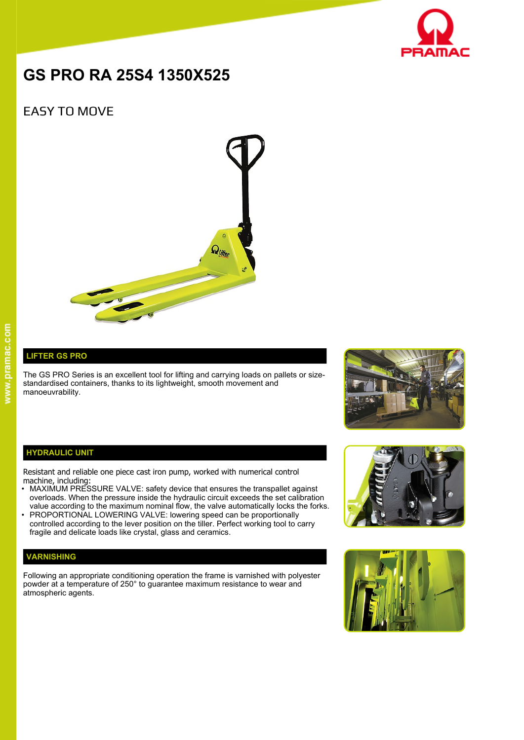

# **GS PRO RA 25S4 1350X525**

# EASY TO MOVE



## **LIFTER GS PRO**

The GS PRO Series is an excellent tool for lifting and carrying loads on pallets or sizestandardised containers, thanks to its lightweight, smooth movement and manoeuvrability.



#### **HYDRAULIC UNIT**

Resistant and reliable one piece cast iron pump, worked with numerical control machine, including:

- MAXIMUM PRESSURE VALVE: safety device that ensures the transpallet against overloads. When the pressure inside the hydraulic circuit exceeds the set calibration value according to the maximum nominal flow, the valve automatically locks the forks.
- PROPORTIONAL LOWERING VALVE: lowering speed can be proportionally controlled according to the lever position on the tiller. Perfect working tool to carry fragile and delicate loads like crystal, glass and ceramics.

### **VARNISHING**

Following an appropriate conditioning operation the frame is varnished with polyester powder at a temperature of 250° to guarantee maximum resistance to wear and atmospheric agents.



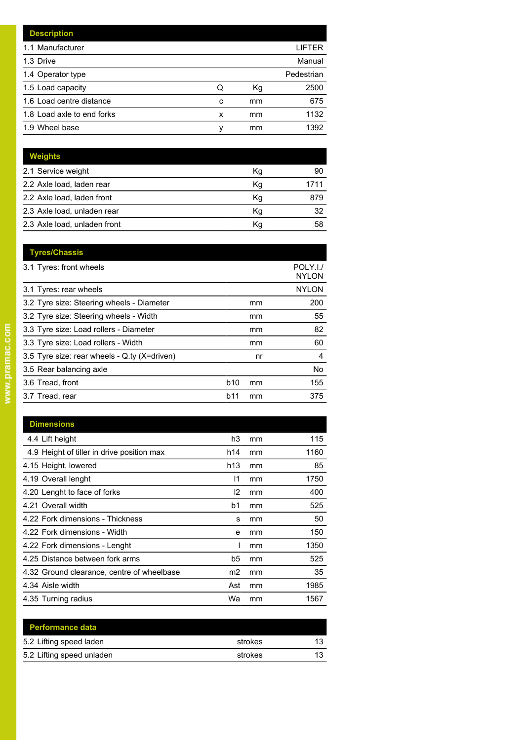|   |    | LIFTER     |
|---|----|------------|
|   |    | Manual     |
|   |    | Pedestrian |
| Q | Кg | 2500       |
| C | mm | 675        |
| x | mm | 1132       |
| ν | mm | 1392       |
|   |    |            |

| <b>Weights</b>               |    |      |
|------------------------------|----|------|
| 2.1 Service weight           | Кg | 90   |
| 2.2 Axle load, laden rear    | Kg | 1711 |
| 2.2 Axle load, laden front   | Kg | 879  |
| 2.3 Axle load, unladen rear  | Κq | 32   |
| 2.3 Axle load, unladen front | Κq | 58   |

|            |    | POLY.I./<br><b>NYLON</b> |
|------------|----|--------------------------|
|            |    | <b>NYLON</b>             |
|            | mm | 200                      |
|            | mm | 55                       |
|            | mm | 82                       |
|            | mm | 60                       |
|            | nr | 4                        |
|            |    | No.                      |
| <b>b10</b> | mm | 155                      |
| b11        | mm | 375                      |
|            |    |                          |

| <b>Dimensions</b>                          |                 |    |      |
|--------------------------------------------|-----------------|----|------|
| 4.4 Lift height                            | h3              | mm | 115  |
| 4.9 Height of tiller in drive position max | h14             | mm | 1160 |
| 4.15 Height, lowered                       | h <sub>13</sub> | mm | 85   |
| 4.19 Overall lenght                        | 11              | mm | 1750 |
| 4.20 Lenght to face of forks               | l2              | mm | 400  |
| 4.21 Overall width                         | b1              | mm | 525  |
| 4.22 Fork dimensions - Thickness           | s               | mm | 50   |
| 4.22 Fork dimensions - Width               | e               | mm | 150  |
| 4.22 Fork dimensions - Lenght              |                 | mm | 1350 |
| 4.25 Distance between fork arms            | b5              | mm | 525  |
| 4.32 Ground clearance, centre of wheelbase | m2              | mm | 35   |
| 4.34 Aisle width                           | Ast             | mm | 1985 |
| 4.35 Turning radius                        | Wa              | mm | 1567 |

| <b>Performance data</b>   |         |    |
|---------------------------|---------|----|
| 5.2 Lifting speed laden   | strokes | 13 |
| 5.2 Lifting speed unladen | strokes | 13 |
|                           |         |    |